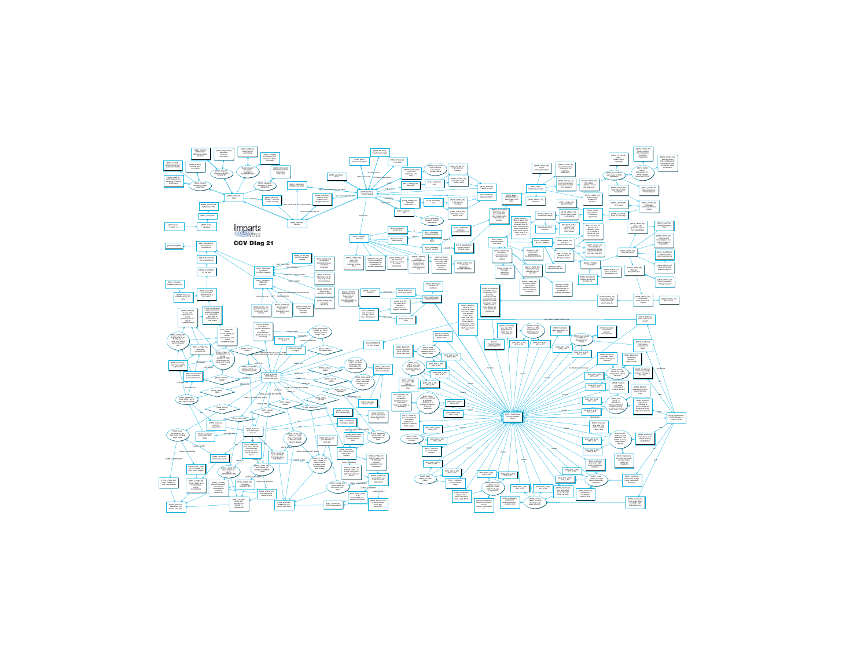